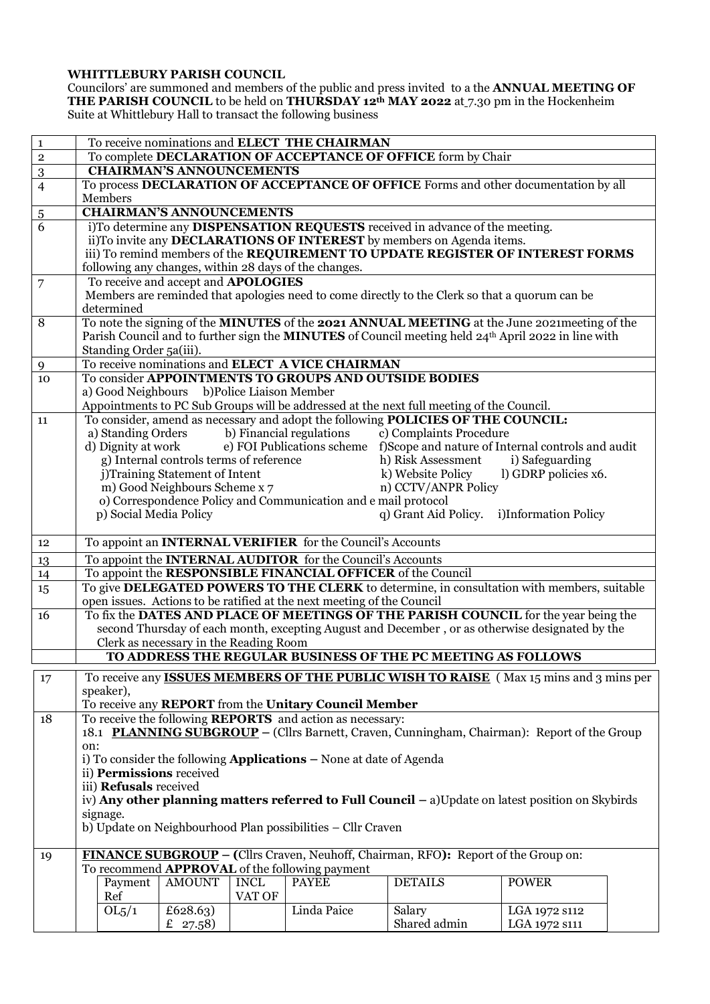## **WHITTLEBURY PARISH COUNCIL**

Councilors' are summoned and members of the public and press invited to a the **ANNUAL MEETING OF THE PARISH COUNCIL** to be held on **THURSDAY 12th MAY 2022** at 7.30 pm in the Hockenheim Suite at Whittlebury Hall to transact the following business

| $\mathbf 1$    | To receive nominations and ELECT THE CHAIRMAN                                                                                                                                                               |                      |                      |  |  |
|----------------|-------------------------------------------------------------------------------------------------------------------------------------------------------------------------------------------------------------|----------------------|----------------------|--|--|
| $\overline{2}$ | To complete DECLARATION OF ACCEPTANCE OF OFFICE form by Chair                                                                                                                                               |                      |                      |  |  |
| $\overline{3}$ | <b>CHAIRMAN'S ANNOUNCEMENTS</b>                                                                                                                                                                             |                      |                      |  |  |
| $\overline{4}$ | To process DECLARATION OF ACCEPTANCE OF OFFICE Forms and other documentation by all                                                                                                                         |                      |                      |  |  |
|                | Members                                                                                                                                                                                                     |                      |                      |  |  |
| $\overline{5}$ | <b>CHAIRMAN'S ANNOUNCEMENTS</b>                                                                                                                                                                             |                      |                      |  |  |
| $\overline{6}$ | i)To determine any DISPENSATION REQUESTS received in advance of the meeting.                                                                                                                                |                      |                      |  |  |
|                | ii)To invite any DECLARATIONS OF INTEREST by members on Agenda items.                                                                                                                                       |                      |                      |  |  |
|                |                                                                                                                                                                                                             |                      |                      |  |  |
|                | iii) To remind members of the REQUIREMENT TO UPDATE REGISTER OF INTEREST FORMS<br>following any changes, within 28 days of the changes.                                                                     |                      |                      |  |  |
| 7              | To receive and accept and APOLOGIES                                                                                                                                                                         |                      |                      |  |  |
|                | Members are reminded that apologies need to come directly to the Clerk so that a quorum can be                                                                                                              |                      |                      |  |  |
|                | determined                                                                                                                                                                                                  |                      |                      |  |  |
| 8              |                                                                                                                                                                                                             |                      |                      |  |  |
|                | To note the signing of the MINUTES of the 2021 ANNUAL MEETING at the June 2021 meeting of the<br>Parish Council and to further sign the <b>MINUTES</b> of Council meeting held 24th April 2022 in line with |                      |                      |  |  |
|                | Standing Order 5a(iii).                                                                                                                                                                                     |                      |                      |  |  |
| 9              | To receive nominations and ELECT A VICE CHAIRMAN                                                                                                                                                            |                      |                      |  |  |
| 10             | To consider APPOINTMENTS TO GROUPS AND OUTSIDE BODIES                                                                                                                                                       |                      |                      |  |  |
|                | a) Good Neighbours b)Police Liaison Member                                                                                                                                                                  |                      |                      |  |  |
|                | Appointments to PC Sub Groups will be addressed at the next full meeting of the Council.                                                                                                                    |                      |                      |  |  |
| 11             | To consider, amend as necessary and adopt the following POLICIES OF THE COUNCIL:                                                                                                                            |                      |                      |  |  |
|                | a) Standing Orders b) Financial regulations c) Complaints Procedure                                                                                                                                         |                      |                      |  |  |
|                | e) FOI Publications scheme f)Scope and nature of Internal controls and audit<br>d) Dignity at work                                                                                                          |                      |                      |  |  |
|                | g) Internal controls terms of reference                                                                                                                                                                     | h) Risk Assessment   | i) Safeguarding      |  |  |
|                | j)Training Statement of Intent                                                                                                                                                                              | k) Website Policy    | l) GDRP policies x6. |  |  |
|                | m) Good Neighbours Scheme x 7                                                                                                                                                                               | n) CCTV/ANPR Policy  |                      |  |  |
|                | o) Correspondence Policy and Communication and e mail protocol                                                                                                                                              |                      |                      |  |  |
|                | p) Social Media Policy                                                                                                                                                                                      | q) Grant Aid Policy. | i)Information Policy |  |  |
|                |                                                                                                                                                                                                             |                      |                      |  |  |
| 12             | To appoint an INTERNAL VERIFIER for the Council's Accounts                                                                                                                                                  |                      |                      |  |  |
|                |                                                                                                                                                                                                             |                      |                      |  |  |
| 13             | To appoint the <b>INTERNAL AUDITOR</b> for the Council's Accounts<br>To appoint the RESPONSIBLE FINANCIAL OFFICER of the Council                                                                            |                      |                      |  |  |
| 14             | To give DELEGATED POWERS TO THE CLERK to determine, in consultation with members, suitable                                                                                                                  |                      |                      |  |  |
| 15             | open issues. Actions to be ratified at the next meeting of the Council                                                                                                                                      |                      |                      |  |  |
| 16             | To fix the DATES AND PLACE OF MEETINGS OF THE PARISH COUNCIL for the year being the                                                                                                                         |                      |                      |  |  |
|                | second Thursday of each month, excepting August and December, or as otherwise designated by the                                                                                                             |                      |                      |  |  |
|                | Clerk as necessary in the Reading Room                                                                                                                                                                      |                      |                      |  |  |
|                | TO ADDRESS THE REGULAR BUSINESS OF THE PC MEETING AS FOLLOWS                                                                                                                                                |                      |                      |  |  |
|                |                                                                                                                                                                                                             |                      |                      |  |  |
| 17             | To receive any <b>ISSUES MEMBERS OF THE PUBLIC WISH TO RAISE</b> (Max 15 mins and 3 mins per                                                                                                                |                      |                      |  |  |
|                | speaker),                                                                                                                                                                                                   |                      |                      |  |  |
|                | To receive any REPORT from the Unitary Council Member                                                                                                                                                       |                      |                      |  |  |
| 18             | To receive the following <b>REPORTS</b> and action as necessary:                                                                                                                                            |                      |                      |  |  |
|                | 18.1 PLANNING SUBGROUP – (Cllrs Barnett, Craven, Cunningham, Chairman): Report of the Group                                                                                                                 |                      |                      |  |  |
|                | on:                                                                                                                                                                                                         |                      |                      |  |  |
|                | i) To consider the following <b>Applications</b> $-$ None at date of Agenda                                                                                                                                 |                      |                      |  |  |
|                | ii) Permissions received                                                                                                                                                                                    |                      |                      |  |  |
|                | iii) Refusals received                                                                                                                                                                                      |                      |                      |  |  |
|                | iv) Any other planning matters referred to Full Council $-$ a) Update on latest position on Skybirds                                                                                                        |                      |                      |  |  |
|                | signage.                                                                                                                                                                                                    |                      |                      |  |  |
|                | b) Update on Neighbourhood Plan possibilities - Cllr Craven                                                                                                                                                 |                      |                      |  |  |
|                | <b>FINANCE SUBGROUP</b> – (Cllrs Craven, Neuhoff, Chairman, RFO): Report of the Group on:                                                                                                                   |                      |                      |  |  |
| 19             | To recommend <b>APPROVAL</b> of the following payment                                                                                                                                                       |                      |                      |  |  |
|                | Payment<br><b>AMOUNT</b><br><b>INCL</b><br><b>PAYEE</b>                                                                                                                                                     | <b>DETAILS</b>       | <b>POWER</b>         |  |  |
|                | Ref<br>VAT OF                                                                                                                                                                                               |                      |                      |  |  |
|                | Linda Paice<br>OL5/1<br>$\overline{£}$ 628.63)                                                                                                                                                              | Salary               | LGA 1972 s112        |  |  |
|                | £ $27.58$                                                                                                                                                                                                   | Shared admin         | LGA 1972 s111        |  |  |
|                |                                                                                                                                                                                                             |                      |                      |  |  |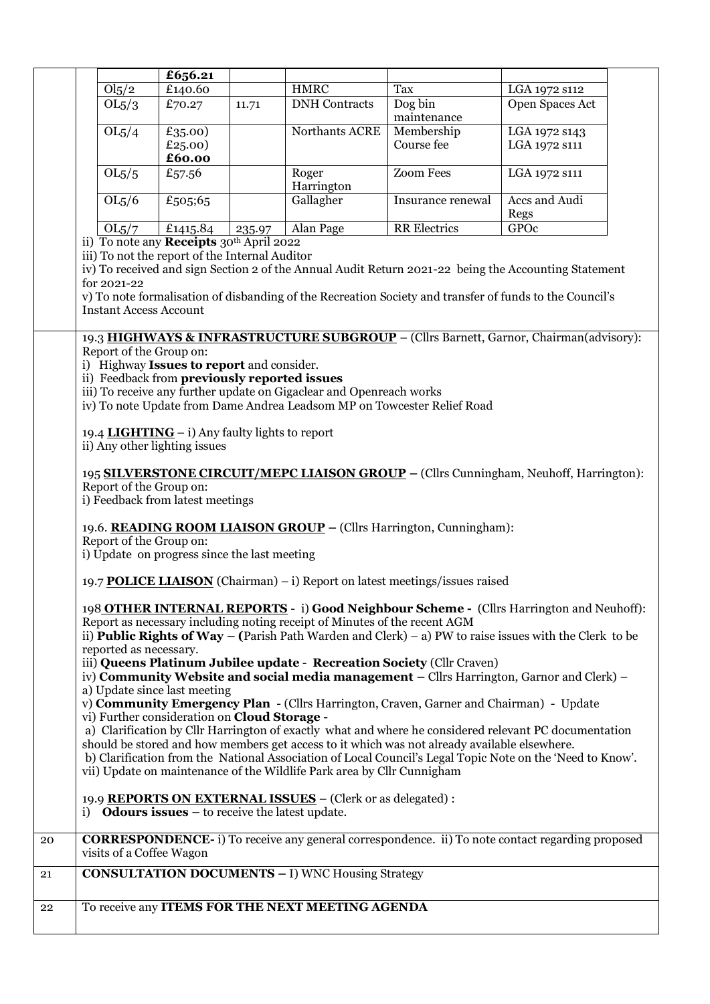|    |                                                                                                                                                                                                                                                                                                                                                                                                                                                                                                                                                                                                                                                                                                                                                                               |                                                                             | £656.21                      |        |                                                         |                                                                                                         |                                |  |
|----|-------------------------------------------------------------------------------------------------------------------------------------------------------------------------------------------------------------------------------------------------------------------------------------------------------------------------------------------------------------------------------------------------------------------------------------------------------------------------------------------------------------------------------------------------------------------------------------------------------------------------------------------------------------------------------------------------------------------------------------------------------------------------------|-----------------------------------------------------------------------------|------------------------------|--------|---------------------------------------------------------|---------------------------------------------------------------------------------------------------------|--------------------------------|--|
|    |                                                                                                                                                                                                                                                                                                                                                                                                                                                                                                                                                                                                                                                                                                                                                                               | $\overline{\text{Ol}_5}/\text{2}$                                           | £140.60                      |        | <b>HMRC</b>                                             | Tax                                                                                                     | LGA 1972 s112                  |  |
|    |                                                                                                                                                                                                                                                                                                                                                                                                                                                                                                                                                                                                                                                                                                                                                                               | OL5/3                                                                       | £70.27                       | 11.71  | <b>DNH</b> Contracts                                    | Dog bin<br>maintenance                                                                                  | Open Spaces Act                |  |
|    |                                                                                                                                                                                                                                                                                                                                                                                                                                                                                                                                                                                                                                                                                                                                                                               | OL5/4                                                                       | £35.00)<br>£25.00)<br>£60.00 |        | Northants ACRE                                          | Membership<br>Course fee                                                                                | LGA 1972 s143<br>LGA 1972 S111 |  |
|    |                                                                                                                                                                                                                                                                                                                                                                                                                                                                                                                                                                                                                                                                                                                                                                               | OL5/5                                                                       | £57.56                       |        | Roger<br>Harrington                                     | <b>Zoom Fees</b>                                                                                        | LGA 1972 s111                  |  |
|    |                                                                                                                                                                                                                                                                                                                                                                                                                                                                                                                                                                                                                                                                                                                                                                               | OL5/6                                                                       | £505;65                      |        | Gallagher                                               | Insurance renewal                                                                                       | Accs and Audi<br>Regs          |  |
|    |                                                                                                                                                                                                                                                                                                                                                                                                                                                                                                                                                                                                                                                                                                                                                                               | OL5/7                                                                       | £1415.84                     | 235.97 | Alan Page                                               | <b>RR</b> Electrics                                                                                     | GPOc                           |  |
|    | ii) To note any <b>Receipts</b> 30 <sup>th</sup> April 2022<br>iii) To not the report of the Internal Auditor<br>iv) To received and sign Section 2 of the Annual Audit Return 2021-22 being the Accounting Statement<br>for 2021-22<br>v) To note formalisation of disbanding of the Recreation Society and transfer of funds to the Council's<br><b>Instant Access Account</b><br>19.3 HIGHWAYS & INFRASTRUCTURE SUBGROUP - (Cllrs Barnett, Garnor, Chairman(advisory):<br>Report of the Group on:<br>i) Highway Issues to report and consider.<br>ii) Feedback from previously reported issues<br>iii) To receive any further update on Gigaclear and Openreach works<br>iv) To note Update from Dame Andrea Leadsom MP on Towcester Relief Road                           |                                                                             |                              |        |                                                         |                                                                                                         |                                |  |
|    | 19.4 LIGHTING $-$ i) Any faulty lights to report<br>ii) Any other lighting issues<br>195 SILVERSTONE CIRCUIT/MEPC LIAISON GROUP - (Cllrs Cunningham, Neuhoff, Harrington):<br>Report of the Group on:<br>i) Feedback from latest meetings<br>19.6. READING ROOM LIAISON GROUP – (Cllrs Harrington, Cunningham):<br>Report of the Group on:<br>i) Update on progress since the last meeting                                                                                                                                                                                                                                                                                                                                                                                    |                                                                             |                              |        |                                                         |                                                                                                         |                                |  |
|    |                                                                                                                                                                                                                                                                                                                                                                                                                                                                                                                                                                                                                                                                                                                                                                               | 19.7 POLICE LIAISON (Chairman) – i) Report on latest meetings/issues raised |                              |        |                                                         |                                                                                                         |                                |  |
|    | 198 OTHER INTERNAL REPORTS - i) Good Neighbour Scheme - (Cllrs Harrington and Neuhoff):<br>Report as necessary including noting receipt of Minutes of the recent AGM<br>ii) <b>Public Rights of Way</b> – (Parish Path Warden and Clerk) – a) PW to raise issues with the Clerk to be<br>reported as necessary.<br>iii) Queens Platinum Jubilee update - Recreation Society (Cllr Craven)<br>iv) Community Website and social media management $-$ Cllrs Harrington, Garnor and Clerk) $-$<br>a) Update since last meeting<br>v) Community Emergency Plan - (Cllrs Harrington, Craven, Garner and Chairman) - Update<br>vi) Further consideration on Cloud Storage -<br>a) Clarification by Cllr Harrington of exactly what and where he considered relevant PC documentation |                                                                             |                              |        |                                                         |                                                                                                         |                                |  |
|    | should be stored and how members get access to it which was not already available elsewhere.<br>b) Clarification from the National Association of Local Council's Legal Topic Note on the 'Need to Know'.<br>vii) Update on maintenance of the Wildlife Park area by Cllr Cunnigham                                                                                                                                                                                                                                                                                                                                                                                                                                                                                           |                                                                             |                              |        |                                                         |                                                                                                         |                                |  |
|    | 19.9 REPORTS ON EXTERNAL ISSUES - (Clerk or as delegated) :<br>i) <b>Odours issues</b> $-$ to receive the latest update.                                                                                                                                                                                                                                                                                                                                                                                                                                                                                                                                                                                                                                                      |                                                                             |                              |        |                                                         |                                                                                                         |                                |  |
| 20 |                                                                                                                                                                                                                                                                                                                                                                                                                                                                                                                                                                                                                                                                                                                                                                               | visits of a Coffee Wagon                                                    |                              |        |                                                         | <b>CORRESPONDENCE-</b> i) To receive any general correspondence. ii) To note contact regarding proposed |                                |  |
| 21 |                                                                                                                                                                                                                                                                                                                                                                                                                                                                                                                                                                                                                                                                                                                                                                               |                                                                             |                              |        | <b>CONSULTATION DOCUMENTS - I) WNC Housing Strategy</b> |                                                                                                         |                                |  |
| 22 |                                                                                                                                                                                                                                                                                                                                                                                                                                                                                                                                                                                                                                                                                                                                                                               |                                                                             |                              |        | To receive any ITEMS FOR THE NEXT MEETING AGENDA        |                                                                                                         |                                |  |